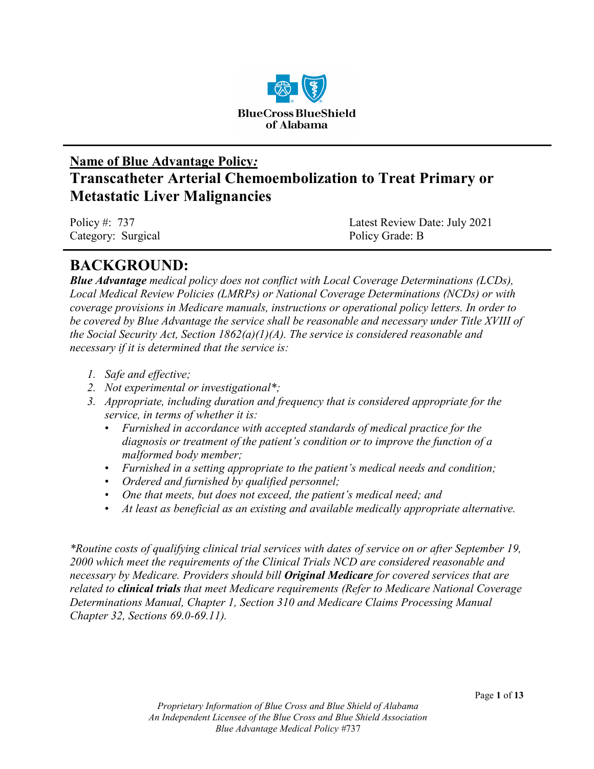

# **Name of Blue Advantage Policy***:* **Transcatheter Arterial Chemoembolization to Treat Primary or Metastatic Liver Malignancies**

Category: Surgical Policy Grade: B

Policy #: 737 Latest Review Date: July 2021

# **BACKGROUND:**

*Blue Advantage medical policy does not conflict with Local Coverage Determinations (LCDs), Local Medical Review Policies (LMRPs) or National Coverage Determinations (NCDs) or with coverage provisions in Medicare manuals, instructions or operational policy letters. In order to be covered by Blue Advantage the service shall be reasonable and necessary under Title XVIII of the Social Security Act, Section 1862(a)(1)(A). The service is considered reasonable and necessary if it is determined that the service is:*

- *1. Safe and effective;*
- *2. Not experimental or investigational\*;*
- *3. Appropriate, including duration and frequency that is considered appropriate for the service, in terms of whether it is:*
	- *Furnished in accordance with accepted standards of medical practice for the diagnosis or treatment of the patient's condition or to improve the function of a malformed body member;*
	- *Furnished in a setting appropriate to the patient's medical needs and condition;*
	- *Ordered and furnished by qualified personnel;*
	- *One that meets, but does not exceed, the patient's medical need; and*
	- *At least as beneficial as an existing and available medically appropriate alternative.*

*\*Routine costs of qualifying clinical trial services with dates of service on or after September 19, 2000 which meet the requirements of the Clinical Trials NCD are considered reasonable and necessary by Medicare. Providers should bill Original Medicare for covered services that are related to clinical trials that meet Medicare requirements (Refer to Medicare National Coverage Determinations Manual, Chapter 1, Section 310 and Medicare Claims Processing Manual Chapter 32, Sections 69.0-69.11).*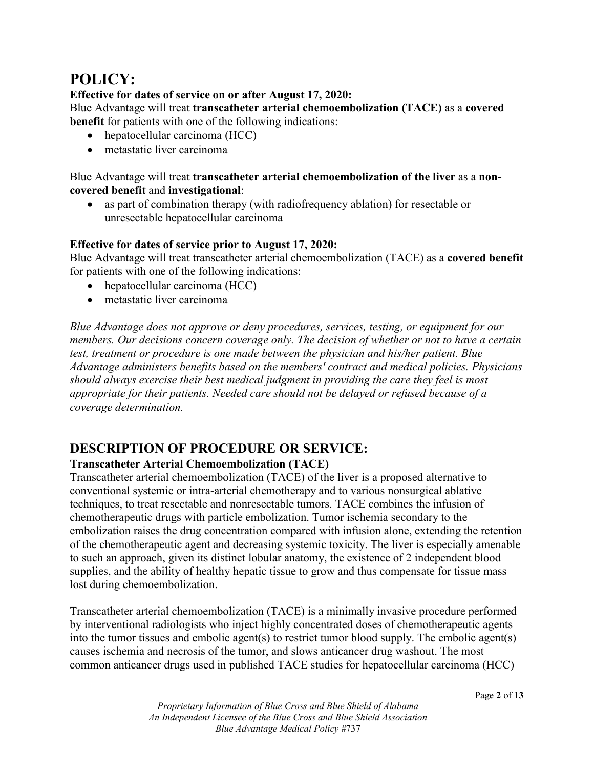# **POLICY:**

### **Effective for dates of service on or after August 17, 2020:**

Blue Advantage will treat **transcatheter arterial chemoembolization (TACE)** as a **covered benefit** for patients with one of the following indications:

- hepatocellular carcinoma (HCC)
- metastatic liver carcinoma

Blue Advantage will treat **transcatheter arterial chemoembolization of the liver** as a **noncovered benefit** and **investigational**:

• as part of combination therapy (with radiofrequency ablation) for resectable or unresectable hepatocellular carcinoma

### **Effective for dates of service prior to August 17, 2020:**

Blue Advantage will treat transcatheter arterial chemoembolization (TACE) as a **covered benefit**  for patients with one of the following indications:

- hepatocellular carcinoma (HCC)
- metastatic liver carcinoma

*Blue Advantage does not approve or deny procedures, services, testing, or equipment for our members. Our decisions concern coverage only. The decision of whether or not to have a certain test, treatment or procedure is one made between the physician and his/her patient. Blue Advantage administers benefits based on the members' contract and medical policies. Physicians should always exercise their best medical judgment in providing the care they feel is most appropriate for their patients. Needed care should not be delayed or refused because of a coverage determination.*

# **DESCRIPTION OF PROCEDURE OR SERVICE:**

### **Transcatheter Arterial Chemoembolization (TACE)**

Transcatheter arterial chemoembolization (TACE) of the liver is a proposed alternative to conventional systemic or intra-arterial chemotherapy and to various nonsurgical ablative techniques, to treat resectable and nonresectable tumors. TACE combines the infusion of chemotherapeutic drugs with particle embolization. Tumor ischemia secondary to the embolization raises the drug concentration compared with infusion alone, extending the retention of the chemotherapeutic agent and decreasing systemic toxicity. The liver is especially amenable to such an approach, given its distinct lobular anatomy, the existence of 2 independent blood supplies, and the ability of healthy hepatic tissue to grow and thus compensate for tissue mass lost during chemoembolization.

Transcatheter arterial chemoembolization (TACE) is a minimally invasive procedure performed by interventional radiologists who inject highly concentrated doses of chemotherapeutic agents into the tumor tissues and embolic agent(s) to restrict tumor blood supply. The embolic agent(s) causes ischemia and necrosis of the tumor, and slows anticancer drug washout. The most common anticancer drugs used in published TACE studies for hepatocellular carcinoma (HCC)

*Proprietary Information of Blue Cross and Blue Shield of Alabama An Independent Licensee of the Blue Cross and Blue Shield Association Blue Advantage Medical Policy #*737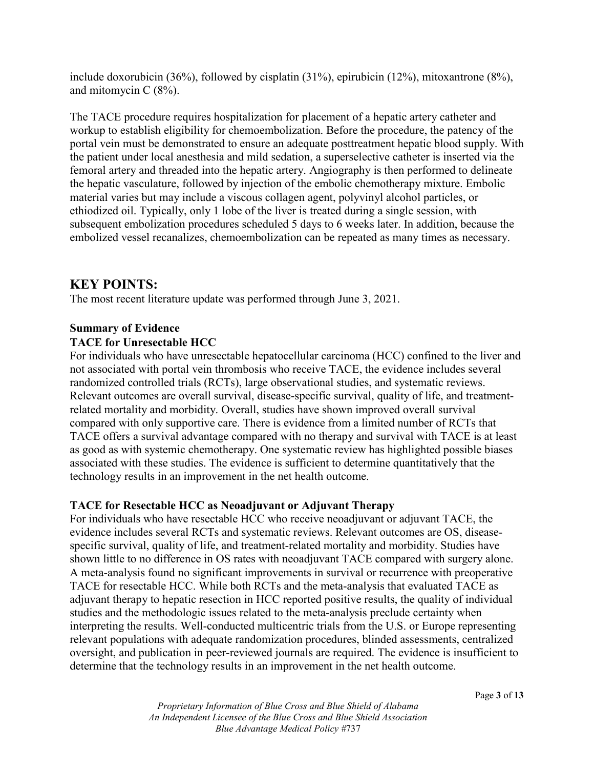include doxorubicin (36%), followed by cisplatin (31%), epirubicin (12%), mitoxantrone (8%), and mitomycin C (8%).

The TACE procedure requires hospitalization for placement of a hepatic artery catheter and workup to establish eligibility for chemoembolization. Before the procedure, the patency of the portal vein must be demonstrated to ensure an adequate posttreatment hepatic blood supply. With the patient under local anesthesia and mild sedation, a superselective catheter is inserted via the femoral artery and threaded into the hepatic artery. Angiography is then performed to delineate the hepatic vasculature, followed by injection of the embolic chemotherapy mixture. Embolic material varies but may include a viscous collagen agent, polyvinyl alcohol particles, or ethiodized oil. Typically, only 1 lobe of the liver is treated during a single session, with subsequent embolization procedures scheduled 5 days to 6 weeks later. In addition, because the embolized vessel recanalizes, chemoembolization can be repeated as many times as necessary.

## **KEY POINTS:**

The most recent literature update was performed through June 3, 2021.

#### **Summary of Evidence**

### **TACE for Unresectable HCC**

For individuals who have unresectable hepatocellular carcinoma (HCC) confined to the liver and not associated with portal vein thrombosis who receive TACE, the evidence includes several randomized controlled trials (RCTs), large observational studies, and systematic reviews. Relevant outcomes are overall survival, disease-specific survival, quality of life, and treatmentrelated mortality and morbidity. Overall, studies have shown improved overall survival compared with only supportive care. There is evidence from a limited number of RCTs that TACE offers a survival advantage compared with no therapy and survival with TACE is at least as good as with systemic chemotherapy. One systematic review has highlighted possible biases associated with these studies. The evidence is sufficient to determine quantitatively that the technology results in an improvement in the net health outcome.

#### **TACE for Resectable HCC as Neoadjuvant or Adjuvant Therapy**

For individuals who have resectable HCC who receive neoadjuvant or adjuvant TACE, the evidence includes several RCTs and systematic reviews. Relevant outcomes are OS, diseasespecific survival, quality of life, and treatment-related mortality and morbidity. Studies have shown little to no difference in OS rates with neoadjuvant TACE compared with surgery alone. A meta-analysis found no significant improvements in survival or recurrence with preoperative TACE for resectable HCC. While both RCTs and the meta-analysis that evaluated TACE as adjuvant therapy to hepatic resection in HCC reported positive results, the quality of individual studies and the methodologic issues related to the meta-analysis preclude certainty when interpreting the results. Well-conducted multicentric trials from the U.S. or Europe representing relevant populations with adequate randomization procedures, blinded assessments, centralized oversight, and publication in peer-reviewed journals are required. The evidence is insufficient to determine that the technology results in an improvement in the net health outcome.

*Proprietary Information of Blue Cross and Blue Shield of Alabama An Independent Licensee of the Blue Cross and Blue Shield Association Blue Advantage Medical Policy #*737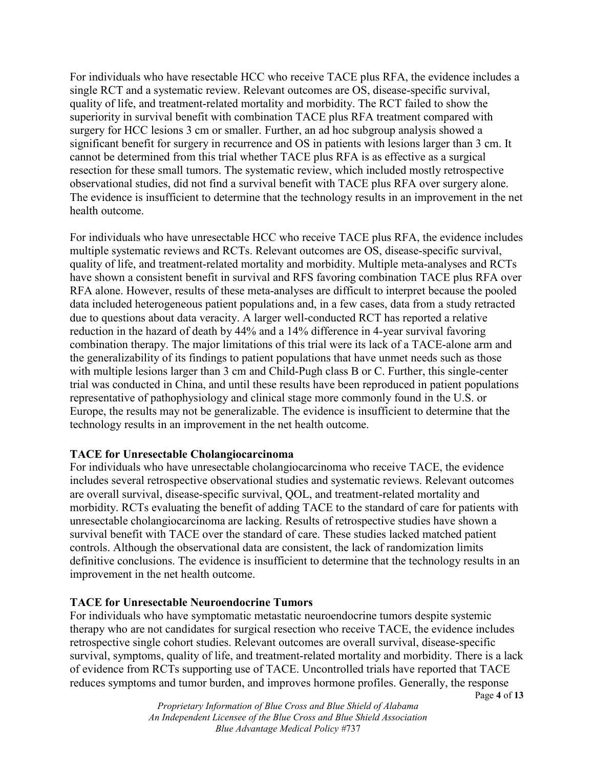For individuals who have resectable HCC who receive TACE plus RFA, the evidence includes a single RCT and a systematic review. Relevant outcomes are OS, disease-specific survival, quality of life, and treatment-related mortality and morbidity. The RCT failed to show the superiority in survival benefit with combination TACE plus RFA treatment compared with surgery for HCC lesions 3 cm or smaller. Further, an ad hoc subgroup analysis showed a significant benefit for surgery in recurrence and OS in patients with lesions larger than 3 cm. It cannot be determined from this trial whether TACE plus RFA is as effective as a surgical resection for these small tumors. The systematic review, which included mostly retrospective observational studies, did not find a survival benefit with TACE plus RFA over surgery alone. The evidence is insufficient to determine that the technology results in an improvement in the net health outcome.

For individuals who have unresectable HCC who receive TACE plus RFA, the evidence includes multiple systematic reviews and RCTs. Relevant outcomes are OS, disease-specific survival, quality of life, and treatment-related mortality and morbidity. Multiple meta-analyses and RCTs have shown a consistent benefit in survival and RFS favoring combination TACE plus RFA over RFA alone. However, results of these meta-analyses are difficult to interpret because the pooled data included heterogeneous patient populations and, in a few cases, data from a study retracted due to questions about data veracity. A larger well-conducted RCT has reported a relative reduction in the hazard of death by 44% and a 14% difference in 4-year survival favoring combination therapy. The major limitations of this trial were its lack of a TACE-alone arm and the generalizability of its findings to patient populations that have unmet needs such as those with multiple lesions larger than 3 cm and Child-Pugh class B or C. Further, this single-center trial was conducted in China, and until these results have been reproduced in patient populations representative of pathophysiology and clinical stage more commonly found in the U.S. or Europe, the results may not be generalizable. The evidence is insufficient to determine that the technology results in an improvement in the net health outcome.

#### **TACE for Unresectable Cholangiocarcinoma**

For individuals who have unresectable cholangiocarcinoma who receive TACE, the evidence includes several retrospective observational studies and systematic reviews. Relevant outcomes are overall survival, disease-specific survival, QOL, and treatment-related mortality and morbidity. RCTs evaluating the benefit of adding TACE to the standard of care for patients with unresectable cholangiocarcinoma are lacking. Results of retrospective studies have shown a survival benefit with TACE over the standard of care. These studies lacked matched patient controls. Although the observational data are consistent, the lack of randomization limits definitive conclusions. The evidence is insufficient to determine that the technology results in an improvement in the net health outcome.

#### **TACE for Unresectable Neuroendocrine Tumors**

For individuals who have symptomatic metastatic neuroendocrine tumors despite systemic therapy who are not candidates for surgical resection who receive TACE, the evidence includes retrospective single cohort studies. Relevant outcomes are overall survival, disease-specific survival, symptoms, quality of life, and treatment-related mortality and morbidity. There is a lack of evidence from RCTs supporting use of TACE. Uncontrolled trials have reported that TACE reduces symptoms and tumor burden, and improves hormone profiles. Generally, the response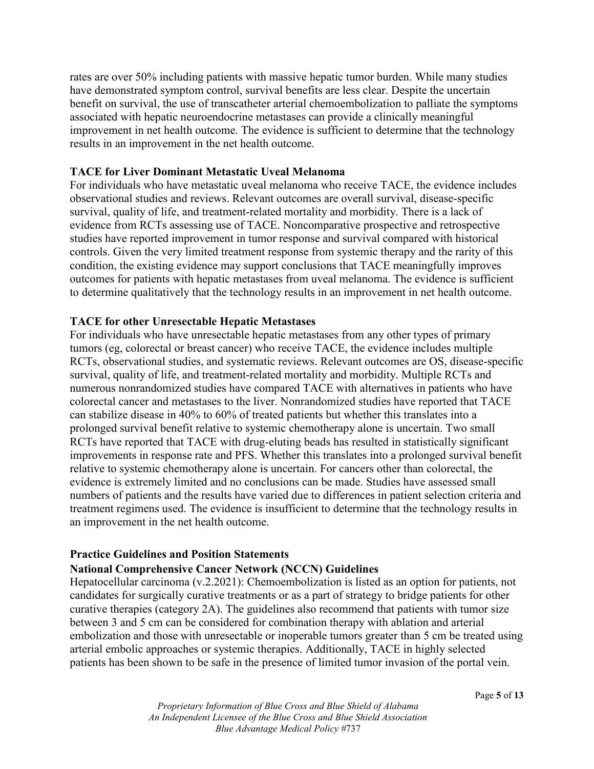rates are over 50% including patients with massive hepatic tumor burden. While many studies have demonstrated symptom control, survival benefits are less clear. Despite the uncertain benefit on survival, the use of transcatheter arterial chemoembolization to palliate the symptoms associated with hepatic neuroendocrine metastases can provide a clinically meaningful improvement in net health outcome. The evidence is sufficient to determine that the technology results in an improvement in the net health outcome.

#### **TACE for Liver Dominant Metastatic Uveal Melanoma**

For individuals who have metastatic uveal melanoma who receive TACE, the evidence includes observational studies and reviews. Relevant outcomes are overall survival, disease-specific survival, quality of life, and treatment-related mortality and morbidity. There is a lack of evidence from RCTs assessing use of TACE. Noncomparative prospective and retrospective studies have reported improvement in tumor response and survival compared with historical controls. Given the very limited treatment response from systemic therapy and the rarity of this condition, the existing evidence may support conclusions that TACE meaningfully improves outcomes for patients with hepatic metastases from uveal melanoma. The evidence is sufficient to determine qualitatively that the technology results in an improvement in net health outcome.

#### **TACE for other Unresectable Hepatic Metastases**

For individuals who have unresectable hepatic metastases from any other types of primary tumors (eg, colorectal or breast cancer) who receive TACE, the evidence includes multiple RCTs, observational studies, and systematic reviews. Relevant outcomes are OS, disease-specific survival, quality of life, and treatment-related mortality and morbidity. Multiple RCTs and numerous nonrandomized studies have compared TACE with alternatives in patients who have colorectal cancer and metastases to the liver. Nonrandomized studies have reported that TACE can stabilize disease in 40% to 60% of treated patients but whether this translates into a prolonged survival benefit relative to systemic chemotherapy alone is uncertain. Two small RCTs have reported that TACE with drug-eluting beads has resulted in statistically significant improvements in response rate and PFS. Whether this translates into a prolonged survival benefit relative to systemic chemotherapy alone is uncertain. For cancers other than colorectal, the evidence is extremely limited and no conclusions can be made. Studies have assessed small numbers of patients and the results have varied due to differences in patient selection criteria and treatment regimens used. The evidence is insufficient to determine that the technology results in an improvement in the net health outcome.

#### **Practice Guidelines and Position Statements**

#### **National Comprehensive Cancer Network (NCCN) Guidelines**

Hepatocellular carcinoma (v.2.2021): Chemoembolization is listed as an option for patients, not candidates for surgically curative treatments or as a part of strategy to bridge patients for other curative therapies (category 2A). The guidelines also recommend that patients with tumor size between 3 and 5 cm can be considered for combination therapy with ablation and arterial embolization and those with unresectable or inoperable tumors greater than 5 cm be treated using arterial embolic approaches or systemic therapies. Additionally, TACE in highly selected patients has been shown to be safe in the presence of limited tumor invasion of the portal vein.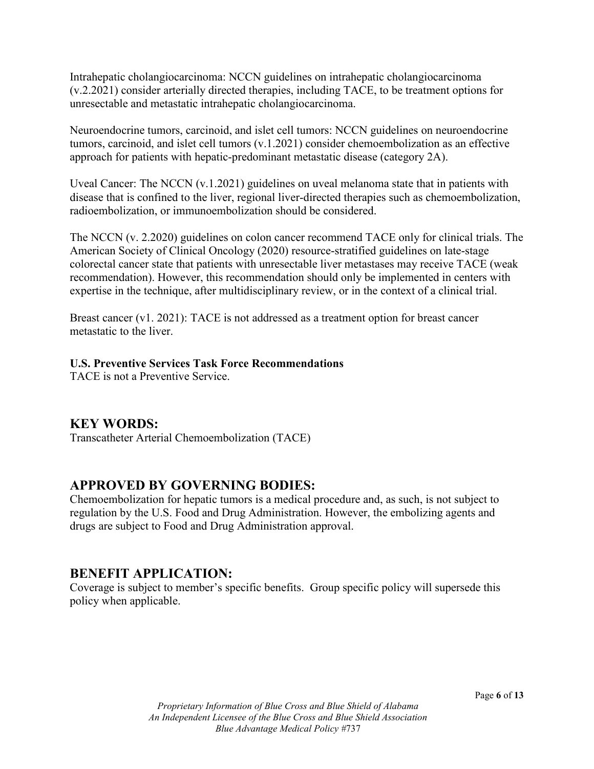Intrahepatic cholangiocarcinoma: NCCN guidelines on intrahepatic cholangiocarcinoma (v.2.2021) consider arterially directed therapies, including TACE, to be treatment options for unresectable and metastatic intrahepatic cholangiocarcinoma.

Neuroendocrine tumors, carcinoid, and islet cell tumors: NCCN guidelines on neuroendocrine tumors, carcinoid, and islet cell tumors (v.1.2021) consider chemoembolization as an effective approach for patients with hepatic-predominant metastatic disease (category 2A).

Uveal Cancer: The NCCN (v.1.2021) guidelines on uveal melanoma state that in patients with disease that is confined to the liver, regional liver-directed therapies such as chemoembolization, radioembolization, or immunoembolization should be considered.

The NCCN (v. 2.2020) guidelines on colon cancer recommend TACE only for clinical trials. The American Society of Clinical Oncology (2020) resource-stratified guidelines on late-stage colorectal cancer state that patients with unresectable liver metastases may receive TACE (weak recommendation). However, this recommendation should only be implemented in centers with expertise in the technique, after multidisciplinary review, or in the context of a clinical trial.

Breast cancer (v1. 2021): TACE is not addressed as a treatment option for breast cancer metastatic to the liver.

#### **U.S. Preventive Services Task Force Recommendations**

TACE is not a Preventive Service.

## **KEY WORDS:**

Transcatheter Arterial Chemoembolization (TACE)

# **APPROVED BY GOVERNING BODIES:**

Chemoembolization for hepatic tumors is a medical procedure and, as such, is not subject to regulation by the U.S. Food and Drug Administration. However, the embolizing agents and drugs are subject to Food and Drug Administration approval.

## **BENEFIT APPLICATION:**

Coverage is subject to member's specific benefits. Group specific policy will supersede this policy when applicable.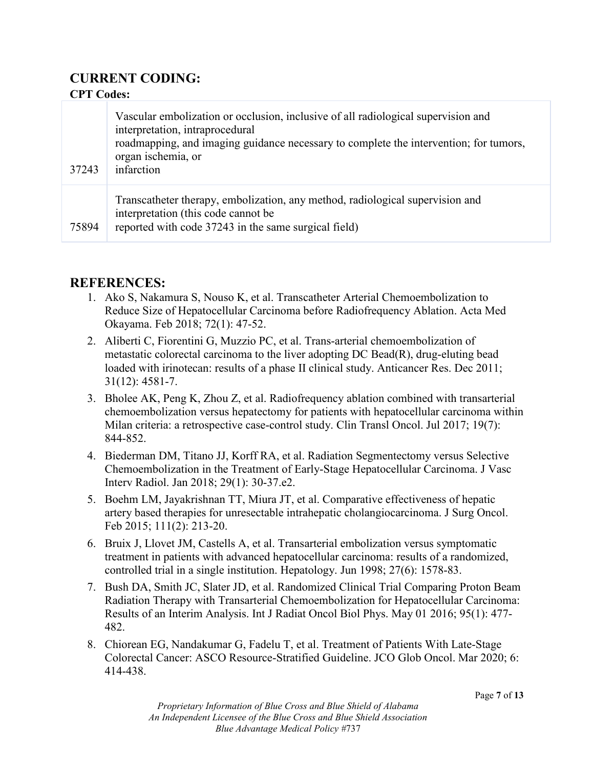# **CURRENT CODING:**

### **CPT Codes:**

| 37243 | Vascular embolization or occlusion, inclusive of all radiological supervision and<br>interpretation, intraprocedural<br>roadmapping, and imaging guidance necessary to complete the intervention; for tumors,<br>organ ischemia, or<br>infarction |
|-------|---------------------------------------------------------------------------------------------------------------------------------------------------------------------------------------------------------------------------------------------------|
| 75894 | Transcatheter therapy, embolization, any method, radiological supervision and<br>interpretation (this code cannot be)<br>reported with code 37243 in the same surgical field)                                                                     |

### **REFERENCES:**

- 1. Ako S, Nakamura S, Nouso K, et al. Transcatheter Arterial Chemoembolization to Reduce Size of Hepatocellular Carcinoma before Radiofrequency Ablation. Acta Med Okayama. Feb 2018; 72(1): 47-52.
- 2. Aliberti C, Fiorentini G, Muzzio PC, et al. Trans-arterial chemoembolization of metastatic colorectal carcinoma to the liver adopting DC Bead(R), drug-eluting bead loaded with irinotecan: results of a phase II clinical study. Anticancer Res. Dec 2011; 31(12): 4581-7.
- 3. Bholee AK, Peng K, Zhou Z, et al. Radiofrequency ablation combined with transarterial chemoembolization versus hepatectomy for patients with hepatocellular carcinoma within Milan criteria: a retrospective case-control study. Clin Transl Oncol. Jul 2017; 19(7): 844-852.
- 4. Biederman DM, Titano JJ, Korff RA, et al. Radiation Segmentectomy versus Selective Chemoembolization in the Treatment of Early-Stage Hepatocellular Carcinoma. J Vasc Interv Radiol. Jan 2018; 29(1): 30-37.e2.
- 5. Boehm LM, Jayakrishnan TT, Miura JT, et al. Comparative effectiveness of hepatic artery based therapies for unresectable intrahepatic cholangiocarcinoma. J Surg Oncol. Feb 2015; 111(2): 213-20.
- 6. Bruix J, Llovet JM, Castells A, et al. Transarterial embolization versus symptomatic treatment in patients with advanced hepatocellular carcinoma: results of a randomized, controlled trial in a single institution. Hepatology. Jun 1998; 27(6): 1578-83.
- 7. Bush DA, Smith JC, Slater JD, et al. Randomized Clinical Trial Comparing Proton Beam Radiation Therapy with Transarterial Chemoembolization for Hepatocellular Carcinoma: Results of an Interim Analysis. Int J Radiat Oncol Biol Phys. May 01 2016; 95(1): 477- 482.
- 8. Chiorean EG, Nandakumar G, Fadelu T, et al. Treatment of Patients With Late-Stage Colorectal Cancer: ASCO Resource-Stratified Guideline. JCO Glob Oncol. Mar 2020; 6: 414-438.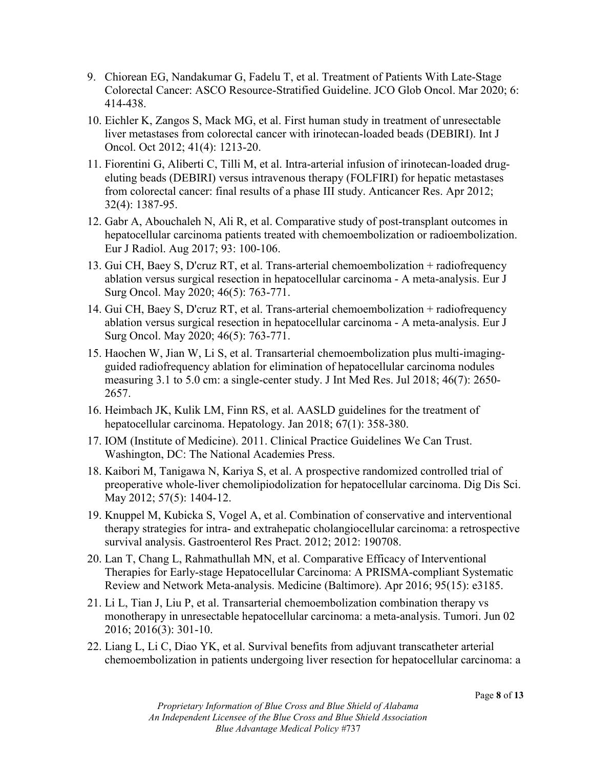- 9. Chiorean EG, Nandakumar G, Fadelu T, et al. Treatment of Patients With Late-Stage Colorectal Cancer: ASCO Resource-Stratified Guideline. JCO Glob Oncol. Mar 2020; 6: 414-438.
- 10. Eichler K, Zangos S, Mack MG, et al. First human study in treatment of unresectable liver metastases from colorectal cancer with irinotecan-loaded beads (DEBIRI). Int J Oncol. Oct 2012; 41(4): 1213-20.
- 11. Fiorentini G, Aliberti C, Tilli M, et al. Intra-arterial infusion of irinotecan-loaded drugeluting beads (DEBIRI) versus intravenous therapy (FOLFIRI) for hepatic metastases from colorectal cancer: final results of a phase III study. Anticancer Res. Apr 2012; 32(4): 1387-95.
- 12. Gabr A, Abouchaleh N, Ali R, et al. Comparative study of post-transplant outcomes in hepatocellular carcinoma patients treated with chemoembolization or radioembolization. Eur J Radiol. Aug 2017; 93: 100-106.
- 13. Gui CH, Baey S, D'cruz RT, et al. Trans-arterial chemoembolization + radiofrequency ablation versus surgical resection in hepatocellular carcinoma - A meta-analysis. Eur J Surg Oncol. May 2020; 46(5): 763-771.
- 14. Gui CH, Baey S, D'cruz RT, et al. Trans-arterial chemoembolization + radiofrequency ablation versus surgical resection in hepatocellular carcinoma - A meta-analysis. Eur J Surg Oncol. May 2020; 46(5): 763-771.
- 15. Haochen W, Jian W, Li S, et al. Transarterial chemoembolization plus multi-imagingguided radiofrequency ablation for elimination of hepatocellular carcinoma nodules measuring 3.1 to 5.0 cm: a single-center study. J Int Med Res. Jul 2018; 46(7): 2650- 2657.
- 16. Heimbach JK, Kulik LM, Finn RS, et al. AASLD guidelines for the treatment of hepatocellular carcinoma. Hepatology. Jan 2018; 67(1): 358-380.
- 17. IOM (Institute of Medicine). 2011. Clinical Practice Guidelines We Can Trust. Washington, DC: The National Academies Press.
- 18. Kaibori M, Tanigawa N, Kariya S, et al. A prospective randomized controlled trial of preoperative whole-liver chemolipiodolization for hepatocellular carcinoma. Dig Dis Sci. May 2012; 57(5): 1404-12.
- 19. Knuppel M, Kubicka S, Vogel A, et al. Combination of conservative and interventional therapy strategies for intra- and extrahepatic cholangiocellular carcinoma: a retrospective survival analysis. Gastroenterol Res Pract. 2012; 2012: 190708.
- 20. Lan T, Chang L, Rahmathullah MN, et al. Comparative Efficacy of Interventional Therapies for Early-stage Hepatocellular Carcinoma: A PRISMA-compliant Systematic Review and Network Meta-analysis. Medicine (Baltimore). Apr 2016; 95(15): e3185.
- 21. Li L, Tian J, Liu P, et al. Transarterial chemoembolization combination therapy vs monotherapy in unresectable hepatocellular carcinoma: a meta-analysis. Tumori. Jun 02 2016; 2016(3): 301-10.
- 22. Liang L, Li C, Diao YK, et al. Survival benefits from adjuvant transcatheter arterial chemoembolization in patients undergoing liver resection for hepatocellular carcinoma: a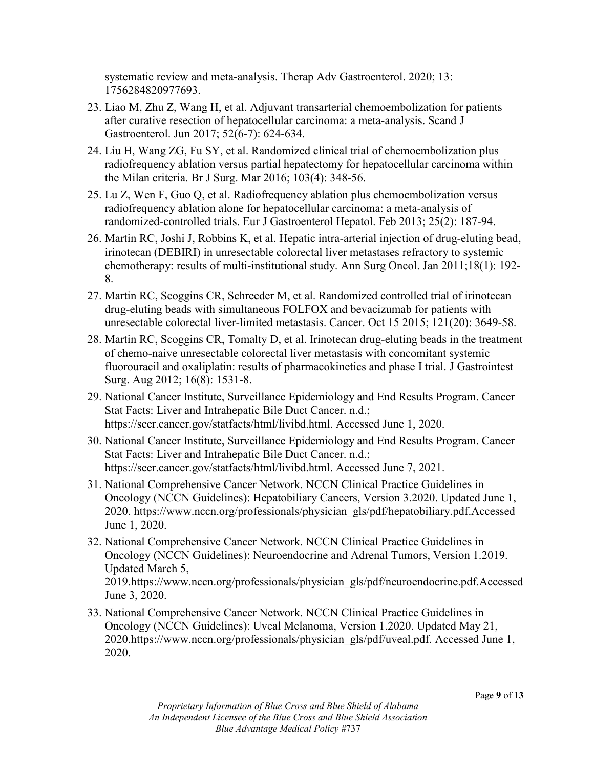systematic review and meta-analysis. Therap Adv Gastroenterol. 2020; 13: 1756284820977693.

- 23. Liao M, Zhu Z, Wang H, et al. Adjuvant transarterial chemoembolization for patients after curative resection of hepatocellular carcinoma: a meta-analysis. Scand J Gastroenterol. Jun 2017; 52(6-7): 624-634.
- 24. Liu H, Wang ZG, Fu SY, et al. Randomized clinical trial of chemoembolization plus radiofrequency ablation versus partial hepatectomy for hepatocellular carcinoma within the Milan criteria. Br J Surg. Mar 2016; 103(4): 348-56.
- 25. Lu Z, Wen F, Guo Q, et al. Radiofrequency ablation plus chemoembolization versus radiofrequency ablation alone for hepatocellular carcinoma: a meta-analysis of randomized-controlled trials. Eur J Gastroenterol Hepatol. Feb 2013; 25(2): 187-94.
- 26. Martin RC, Joshi J, Robbins K, et al. Hepatic intra-arterial injection of drug-eluting bead, irinotecan (DEBIRI) in unresectable colorectal liver metastases refractory to systemic chemotherapy: results of multi-institutional study. Ann Surg Oncol. Jan 2011;18(1): 192- 8.
- 27. Martin RC, Scoggins CR, Schreeder M, et al. Randomized controlled trial of irinotecan drug-eluting beads with simultaneous FOLFOX and bevacizumab for patients with unresectable colorectal liver-limited metastasis. Cancer. Oct 15 2015; 121(20): 3649-58.
- 28. Martin RC, Scoggins CR, Tomalty D, et al. Irinotecan drug-eluting beads in the treatment of chemo-naive unresectable colorectal liver metastasis with concomitant systemic fluorouracil and oxaliplatin: results of pharmacokinetics and phase I trial. J Gastrointest Surg. Aug 2012; 16(8): 1531-8.
- 29. National Cancer Institute, Surveillance Epidemiology and End Results Program. Cancer Stat Facts: Liver and Intrahepatic Bile Duct Cancer. n.d.; https://seer.cancer.gov/statfacts/html/livibd.html. Accessed June 1, 2020.
- 30. National Cancer Institute, Surveillance Epidemiology and End Results Program. Cancer Stat Facts: Liver and Intrahepatic Bile Duct Cancer. n.d.; https://seer.cancer.gov/statfacts/html/livibd.html. Accessed June 7, 2021.
- 31. National Comprehensive Cancer Network. NCCN Clinical Practice Guidelines in Oncology (NCCN Guidelines): Hepatobiliary Cancers, Version 3.2020. Updated June 1, 2020. https://www.nccn.org/professionals/physician\_gls/pdf/hepatobiliary.pdf.Accessed June 1, 2020.
- 32. National Comprehensive Cancer Network. NCCN Clinical Practice Guidelines in Oncology (NCCN Guidelines): Neuroendocrine and Adrenal Tumors, Version 1.2019. Updated March 5, 2019.https://www.nccn.org/professionals/physician\_gls/pdf/neuroendocrine.pdf.Accessed June 3, 2020.
- 33. National Comprehensive Cancer Network. NCCN Clinical Practice Guidelines in Oncology (NCCN Guidelines): Uveal Melanoma, Version 1.2020. Updated May 21, 2020.https://www.nccn.org/professionals/physician\_gls/pdf/uveal.pdf. Accessed June 1, 2020.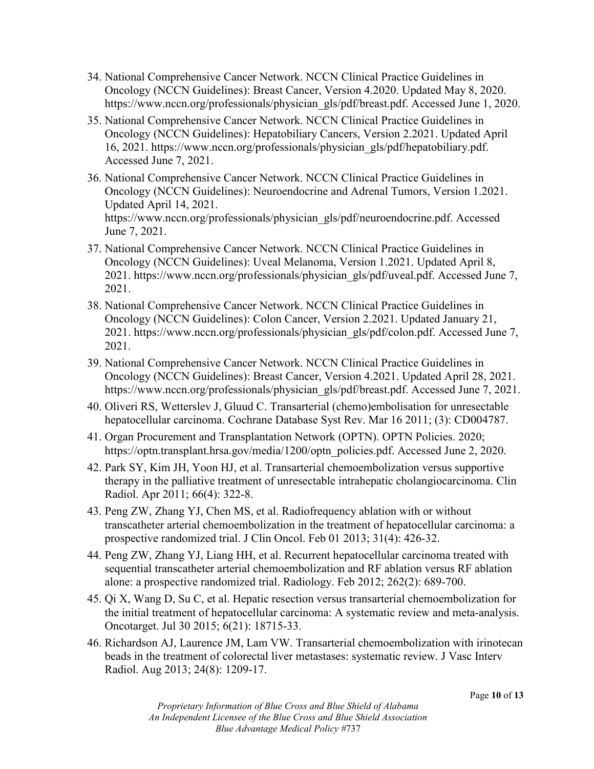- 34. National Comprehensive Cancer Network. NCCN Clinical Practice Guidelines in Oncology (NCCN Guidelines): Breast Cancer, Version 4.2020. Updated May 8, 2020. https://www.nccn.org/professionals/physician\_gls/pdf/breast.pdf. Accessed June 1, 2020.
- 35. National Comprehensive Cancer Network. NCCN Clinical Practice Guidelines in Oncology (NCCN Guidelines): Hepatobiliary Cancers, Version 2.2021. Updated April 16, 2021. https://www.nccn.org/professionals/physician\_gls/pdf/hepatobiliary.pdf. Accessed June 7, 2021.
- 36. National Comprehensive Cancer Network. NCCN Clinical Practice Guidelines in Oncology (NCCN Guidelines): Neuroendocrine and Adrenal Tumors, Version 1.2021. Updated April 14, 2021. https://www.nccn.org/professionals/physician\_gls/pdf/neuroendocrine.pdf. Accessed June 7, 2021.
- 37. National Comprehensive Cancer Network. NCCN Clinical Practice Guidelines in Oncology (NCCN Guidelines): Uveal Melanoma, Version 1.2021. Updated April 8, 2021. https://www.nccn.org/professionals/physician\_gls/pdf/uveal.pdf. Accessed June 7, 2021.
- 38. National Comprehensive Cancer Network. NCCN Clinical Practice Guidelines in Oncology (NCCN Guidelines): Colon Cancer, Version 2.2021. Updated January 21, 2021. https://www.nccn.org/professionals/physician\_gls/pdf/colon.pdf. Accessed June 7, 2021.
- 39. National Comprehensive Cancer Network. NCCN Clinical Practice Guidelines in Oncology (NCCN Guidelines): Breast Cancer, Version 4.2021. Updated April 28, 2021. https://www.nccn.org/professionals/physician\_gls/pdf/breast.pdf. Accessed June 7, 2021.
- 40. Oliveri RS, Wetterslev J, Gluud C. Transarterial (chemo)embolisation for unresectable hepatocellular carcinoma. Cochrane Database Syst Rev. Mar 16 2011; (3): CD004787.
- 41. Organ Procurement and Transplantation Network (OPTN). OPTN Policies. 2020; https://optn.transplant.hrsa.gov/media/1200/optn\_policies.pdf. Accessed June 2, 2020.
- 42. Park SY, Kim JH, Yoon HJ, et al. Transarterial chemoembolization versus supportive therapy in the palliative treatment of unresectable intrahepatic cholangiocarcinoma. Clin Radiol. Apr 2011; 66(4): 322-8.
- 43. Peng ZW, Zhang YJ, Chen MS, et al. Radiofrequency ablation with or without transcatheter arterial chemoembolization in the treatment of hepatocellular carcinoma: a prospective randomized trial. J Clin Oncol. Feb 01 2013; 31(4): 426-32.
- 44. Peng ZW, Zhang YJ, Liang HH, et al. Recurrent hepatocellular carcinoma treated with sequential transcatheter arterial chemoembolization and RF ablation versus RF ablation alone: a prospective randomized trial. Radiology. Feb 2012; 262(2): 689-700.
- 45. Qi X, Wang D, Su C, et al. Hepatic resection versus transarterial chemoembolization for the initial treatment of hepatocellular carcinoma: A systematic review and meta-analysis. Oncotarget. Jul 30 2015; 6(21): 18715-33.
- 46. Richardson AJ, Laurence JM, Lam VW. Transarterial chemoembolization with irinotecan beads in the treatment of colorectal liver metastases: systematic review. J Vasc Interv Radiol. Aug 2013; 24(8): 1209-17.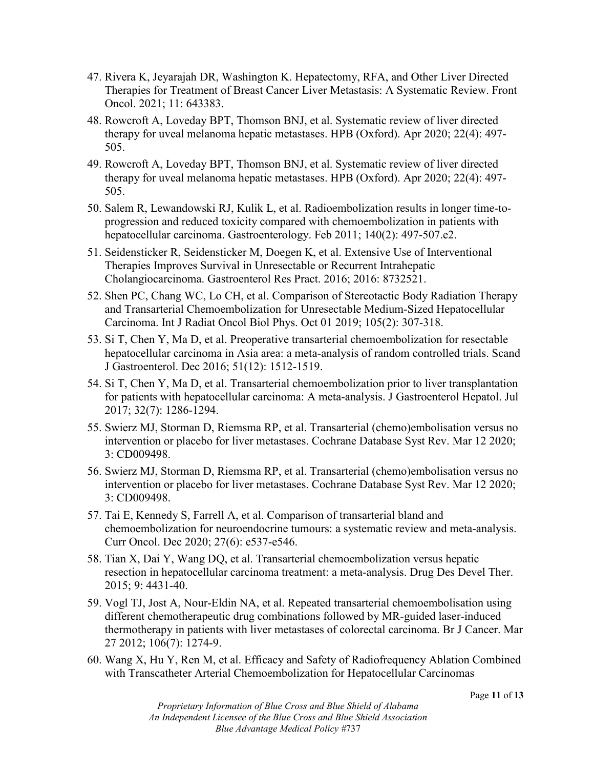- 47. Rivera K, Jeyarajah DR, Washington K. Hepatectomy, RFA, and Other Liver Directed Therapies for Treatment of Breast Cancer Liver Metastasis: A Systematic Review. Front Oncol. 2021; 11: 643383.
- 48. Rowcroft A, Loveday BPT, Thomson BNJ, et al. Systematic review of liver directed therapy for uveal melanoma hepatic metastases. HPB (Oxford). Apr 2020; 22(4): 497- 505.
- 49. Rowcroft A, Loveday BPT, Thomson BNJ, et al. Systematic review of liver directed therapy for uveal melanoma hepatic metastases. HPB (Oxford). Apr 2020; 22(4): 497- 505.
- 50. Salem R, Lewandowski RJ, Kulik L, et al. Radioembolization results in longer time-toprogression and reduced toxicity compared with chemoembolization in patients with hepatocellular carcinoma. Gastroenterology. Feb 2011; 140(2): 497-507.e2.
- 51. Seidensticker R, Seidensticker M, Doegen K, et al. Extensive Use of Interventional Therapies Improves Survival in Unresectable or Recurrent Intrahepatic Cholangiocarcinoma. Gastroenterol Res Pract. 2016; 2016: 8732521.
- 52. Shen PC, Chang WC, Lo CH, et al. Comparison of Stereotactic Body Radiation Therapy and Transarterial Chemoembolization for Unresectable Medium-Sized Hepatocellular Carcinoma. Int J Radiat Oncol Biol Phys. Oct 01 2019; 105(2): 307-318.
- 53. Si T, Chen Y, Ma D, et al. Preoperative transarterial chemoembolization for resectable hepatocellular carcinoma in Asia area: a meta-analysis of random controlled trials. Scand J Gastroenterol. Dec 2016; 51(12): 1512-1519.
- 54. Si T, Chen Y, Ma D, et al. Transarterial chemoembolization prior to liver transplantation for patients with hepatocellular carcinoma: A meta-analysis. J Gastroenterol Hepatol. Jul 2017; 32(7): 1286-1294.
- 55. Swierz MJ, Storman D, Riemsma RP, et al. Transarterial (chemo)embolisation versus no intervention or placebo for liver metastases. Cochrane Database Syst Rev. Mar 12 2020; 3: CD009498.
- 56. Swierz MJ, Storman D, Riemsma RP, et al. Transarterial (chemo)embolisation versus no intervention or placebo for liver metastases. Cochrane Database Syst Rev. Mar 12 2020; 3: CD009498.
- 57. Tai E, Kennedy S, Farrell A, et al. Comparison of transarterial bland and chemoembolization for neuroendocrine tumours: a systematic review and meta-analysis. Curr Oncol. Dec 2020; 27(6): e537-e546.
- 58. Tian X, Dai Y, Wang DQ, et al. Transarterial chemoembolization versus hepatic resection in hepatocellular carcinoma treatment: a meta-analysis. Drug Des Devel Ther. 2015; 9: 4431-40.
- 59. Vogl TJ, Jost A, Nour-Eldin NA, et al. Repeated transarterial chemoembolisation using different chemotherapeutic drug combinations followed by MR-guided laser-induced thermotherapy in patients with liver metastases of colorectal carcinoma. Br J Cancer. Mar 27 2012; 106(7): 1274-9.
- 60. Wang X, Hu Y, Ren M, et al. Efficacy and Safety of Radiofrequency Ablation Combined with Transcatheter Arterial Chemoembolization for Hepatocellular Carcinomas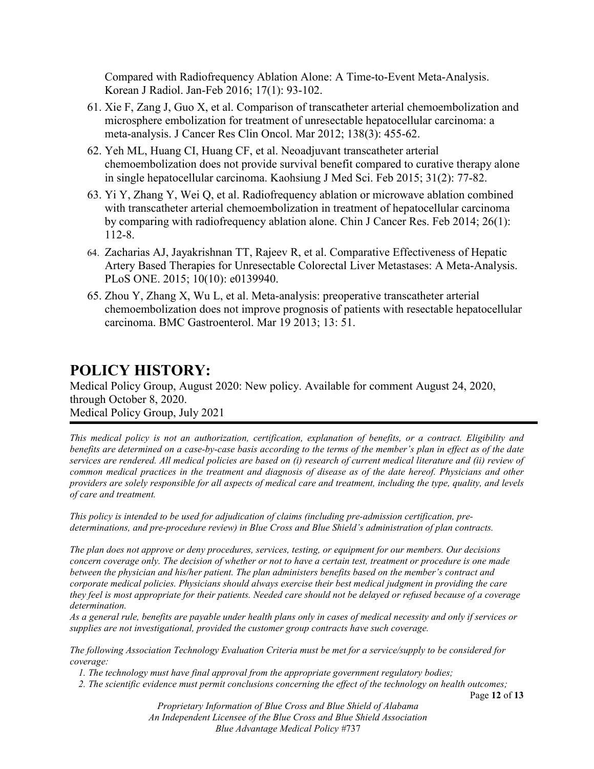Compared with Radiofrequency Ablation Alone: A Time-to-Event Meta-Analysis. Korean J Radiol. Jan-Feb 2016; 17(1): 93-102.

- 61. Xie F, Zang J, Guo X, et al. Comparison of transcatheter arterial chemoembolization and microsphere embolization for treatment of unresectable hepatocellular carcinoma: a meta-analysis. J Cancer Res Clin Oncol. Mar 2012; 138(3): 455-62.
- 62. Yeh ML, Huang CI, Huang CF, et al. Neoadjuvant transcatheter arterial chemoembolization does not provide survival benefit compared to curative therapy alone in single hepatocellular carcinoma. Kaohsiung J Med Sci. Feb 2015; 31(2): 77-82.
- 63. Yi Y, Zhang Y, Wei Q, et al. Radiofrequency ablation or microwave ablation combined with transcatheter arterial chemoembolization in treatment of hepatocellular carcinoma by comparing with radiofrequency ablation alone. Chin J Cancer Res. Feb 2014; 26(1): 112-8.
- 64. Zacharias AJ, Jayakrishnan TT, Rajeev R, et al. Comparative Effectiveness of Hepatic Artery Based Therapies for Unresectable Colorectal Liver Metastases: A Meta-Analysis. PLoS ONE. 2015; 10(10): e0139940.
- 65. Zhou Y, Zhang X, Wu L, et al. Meta-analysis: preoperative transcatheter arterial chemoembolization does not improve prognosis of patients with resectable hepatocellular carcinoma. BMC Gastroenterol. Mar 19 2013; 13: 51.

# **POLICY HISTORY:**

Medical Policy Group, August 2020: New policy. Available for comment August 24, 2020, through October 8, 2020. Medical Policy Group, July 2021

*This medical policy is not an authorization, certification, explanation of benefits, or a contract. Eligibility and benefits are determined on a case-by-case basis according to the terms of the member's plan in effect as of the date services are rendered. All medical policies are based on (i) research of current medical literature and (ii) review of common medical practices in the treatment and diagnosis of disease as of the date hereof. Physicians and other providers are solely responsible for all aspects of medical care and treatment, including the type, quality, and levels of care and treatment.*

*This policy is intended to be used for adjudication of claims (including pre-admission certification, predeterminations, and pre-procedure review) in Blue Cross and Blue Shield's administration of plan contracts.*

*The plan does not approve or deny procedures, services, testing, or equipment for our members. Our decisions concern coverage only. The decision of whether or not to have a certain test, treatment or procedure is one made between the physician and his/her patient. The plan administers benefits based on the member's contract and corporate medical policies. Physicians should always exercise their best medical judgment in providing the care they feel is most appropriate for their patients. Needed care should not be delayed or refused because of a coverage determination.* 

*As a general rule, benefits are payable under health plans only in cases of medical necessity and only if services or supplies are not investigational, provided the customer group contracts have such coverage.* 

*The following Association Technology Evaluation Criteria must be met for a service/supply to be considered for coverage:* 

*1. The technology must have final approval from the appropriate government regulatory bodies;* 

*2. The scientific evidence must permit conclusions concerning the effect of the technology on health outcomes;* 

Page **12** of **13**

*Proprietary Information of Blue Cross and Blue Shield of Alabama An Independent Licensee of the Blue Cross and Blue Shield Association Blue Advantage Medical Policy #*737